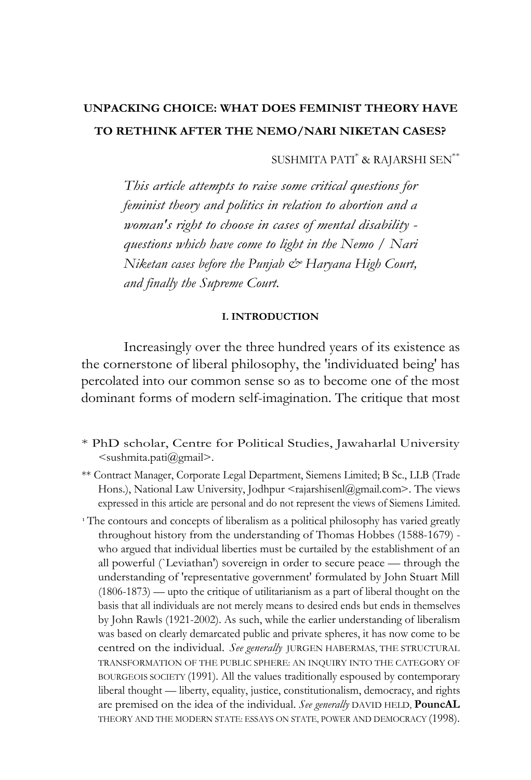## **UNPACKING CHOICE: WHAT DOES FEMINIST THEORY HAVE TO RETHINK AFTER THE NEMO/NARI NIKETAN CASES?**

SUSHMITA PATI\* & RAJARSHI SEN\*\*

*This article attempts to raise some critical questions for feminist theory and politics in relation to abortion and a woman's right to choose in cases of mental disability questions which have come to light in the Nemo / Nari Niketan cases before the Punjab & Haryana High Court, and finally the Supreme Court.* 

## **I. INTRODUCTION**

Increasingly over the three hundred years of its existence as the cornerstone of liberal philosophy, the 'individuated being' has percolated into our common sense so as to become one of the most dominant forms of modern self-imagination. The critique that most

- \* PhD scholar, Centre for Political Studies, Jawaharlal University <sushmita.pati@gmail>.
- \*\* Contract Manager, Corporate Legal Department, Siemens Limited; B Sc., LLB (Trade Hons.), National Law University, Jodhpur <rajarshisenl@gmail.com>. The views expressed in this article are personal and do not represent the views of Siemens Limited.
- <sup>1</sup> The contours and concepts of liberalism as a political philosophy has varied greatly throughout history from the understanding of Thomas Hobbes (1588-1679) who argued that individual liberties must be curtailed by the establishment of an all powerful (`Leviathan') sovereign in order to secure peace — through the understanding of 'representative government' formulated by John Stuart Mill (1806-1873) — upto the critique of utilitarianism as a part of liberal thought on the basis that all individuals are not merely means to desired ends but ends in themselves by John Rawls (1921-2002). As such, while the earlier understanding of liberalism was based on clearly demarcated public and private spheres, it has now come to be centred on the individual. *See generally* JURGEN HABERMAS, THE STRUCTURAL TRANSFORMATION OF THE PUBLIC SPHERE: AN INQUIRY INTO THE CATEGORY OF BOURGEOIS SOCIETY (1991). All the values traditionally espoused by contemporary liberal thought — liberty, equality, justice, constitutionalism, democracy, and rights are premised on the idea of the individual. *See generally* DAVID HELD, **PouncAL**  THEORY AND THE MODERN STATE: ESSAYS ON STATE, POWER AND DEMOCRACY (1998).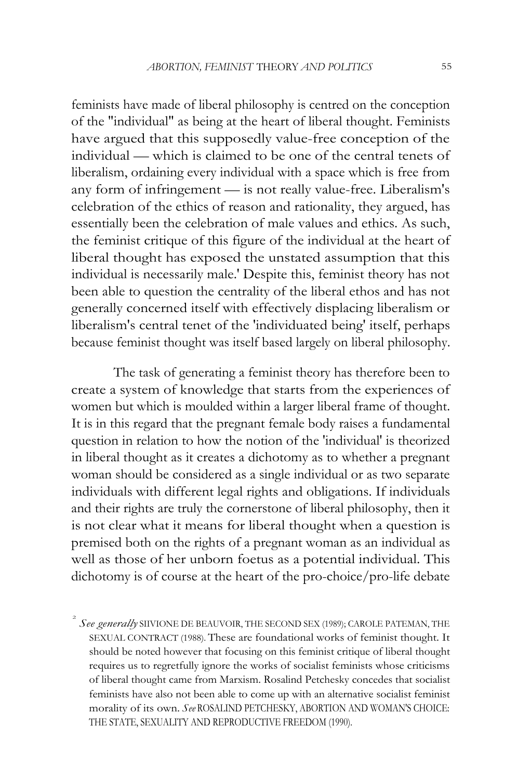feminists have made of liberal philosophy is centred on the conception of the "individual" as being at the heart of liberal thought. Feminists have argued that this supposedly value-free conception of the individual — which is claimed to be one of the central tenets of liberalism, ordaining every individual with a space which is free from any form of infringement — is not really value-free. Liberalism's celebration of the ethics of reason and rationality, they argued, has essentially been the celebration of male values and ethics. As such, the feminist critique of this figure of the individual at the heart of liberal thought has exposed the unstated assumption that this individual is necessarily male.' Despite this, feminist theory has not been able to question the centrality of the liberal ethos and has not generally concerned itself with effectively displacing liberalism or liberalism's central tenet of the 'individuated being' itself, perhaps because feminist thought was itself based largely on liberal philosophy.

The task of generating a feminist theory has therefore been to create a system of knowledge that starts from the experiences of women but which is moulded within a larger liberal frame of thought. It is in this regard that the pregnant female body raises a fundamental question in relation to how the notion of the 'individual' is theorized in liberal thought as it creates a dichotomy as to whether a pregnant woman should be considered as a single individual or as two separate individuals with different legal rights and obligations. If individuals and their rights are truly the cornerstone of liberal philosophy, then it is not clear what it means for liberal thought when a question is premised both on the rights of a pregnant woman as an individual as well as those of her unborn foetus as a potential individual. This dichotomy is of course at the heart of the pro-choice/pro-life debate

 $\hat{\mathcal{L}}$  *See generally* SIIVIONE DE BEAUVOIR, THE SECOND SEX (1989); CAROLE PATEMAN, THE SEXUAL CONTRACT (1988). These are foundational works of feminist thought. It should be noted however that focusing on this feminist critique of liberal thought requires us to regretfully ignore the works of socialist feminists whose criticisms of liberal thought came from Marxism. Rosalind Petchesky concedes that socialist feminists have also not been able to come up with an alternative socialist feminist morality of its own. *See* ROSALIND PETCHESKY, ABORTION AND WOMAN'S CHOICE: THE STATE, SEXUALITY AND REPRODUCTIVE FREEDOM (1990).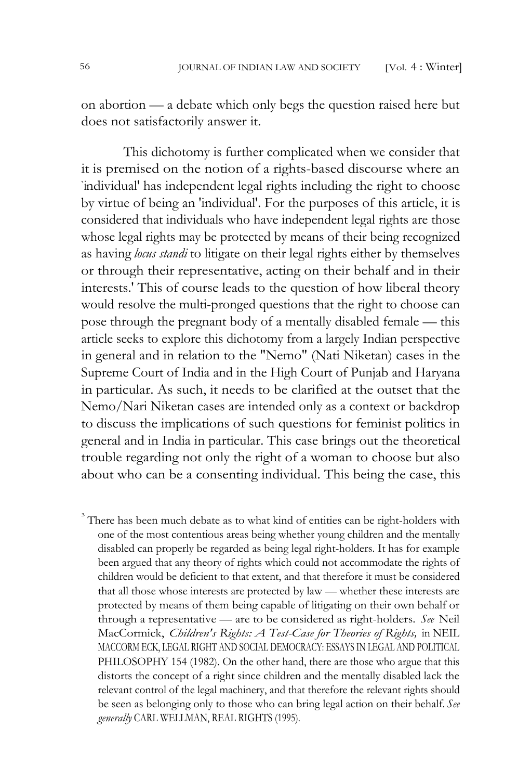on abortion — a debate which only begs the question raised here but does not satisfactorily answer it.

This dichotomy is further complicated when we consider that it is premised on the notion of a rights-based discourse where an `individual' has independent legal rights including the right to choose by virtue of being an 'individual'. For the purposes of this article, it is considered that individuals who have independent legal rights are those whose legal rights may be protected by means of their being recognized as having *locus standi* to litigate on their legal rights either by themselves or through their representative, acting on their behalf and in their interests.' This of course leads to the question of how liberal theory would resolve the multi-pronged questions that the right to choose can pose through the pregnant body of a mentally disabled female — this article seeks to explore this dichotomy from a largely Indian perspective in general and in relation to the "Nemo" (Nati Niketan) cases in the Supreme Court of India and in the High Court of Punjab and Haryana in particular. As such, it needs to be clarified at the outset that the Nemo/Nari Niketan cases are intended only as a context or backdrop to discuss the implications of such questions for feminist politics in general and in India in particular. This case brings out the theoretical trouble regarding not only the right of a woman to choose but also about who can be a consenting individual. This being the case, this

There has been much debate as to what kind of entities can be right-holders with one of the most contentious areas being whether young children and the mentally disabled can properly be regarded as being legal right-holders. It has for example been argued that any theory of rights which could not accommodate the rights of children would be deficient to that extent, and that therefore it must be considered that all those whose interests are protected by law — whether these interests are protected by means of them being capable of litigating on their own behalf or through a representative — are to be considered as right-holders. *See* Neil MacCormick, *Children's Rights: A Test-Case for Theories of Rights,* in NEIL MACCORM ECK, LEGAL RIGHT AND SOCIAL DEMOCRACY: ESSAYS IN LEGAL AND POLITICAL PHILOSOPHY 154 (1982). On the other hand, there are those who argue that this distorts the concept of a right since children and the mentally disabled lack the relevant control of the legal machinery, and that therefore the relevant rights should be seen as belonging only to those who can bring legal action on their behalf. *See generally* CARL WELLMAN, REAL RIGHTS (1995).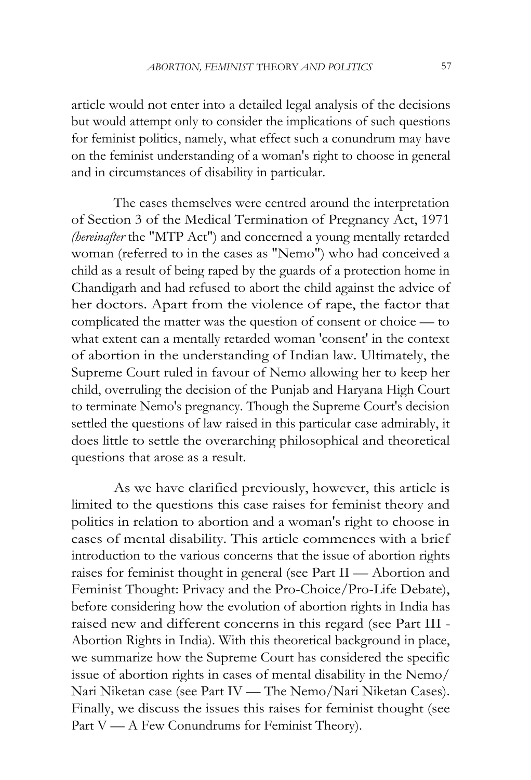article would not enter into a detailed legal analysis of the decisions but would attempt only to consider the implications of such questions for feminist politics, namely, what effect such a conundrum may have on the feminist understanding of a woman's right to choose in general and in circumstances of disability in particular.

The cases themselves were centred around the interpretation of Section 3 of the Medical Termination of Pregnancy Act, 1971 *(hereinafter* the "MTP Act") and concerned a young mentally retarded woman (referred to in the cases as "Nemo") who had conceived a child as a result of being raped by the guards of a protection home in Chandigarh and had refused to abort the child against the advice of her doctors. Apart from the violence of rape, the factor that complicated the matter was the question of consent or choice — to what extent can a mentally retarded woman 'consent' in the context of abortion in the understanding of Indian law. Ultimately, the Supreme Court ruled in favour of Nemo allowing her to keep her child, overruling the decision of the Punjab and Haryana High Court to terminate Nemo's pregnancy. Though the Supreme Court's decision settled the questions of law raised in this particular case admirably, it does little to settle the overarching philosophical and theoretical questions that arose as a result.

As we have clarified previously, however, this article is limited to the questions this case raises for feminist theory and politics in relation to abortion and a woman's right to choose in cases of mental disability. This article commences with a brief introduction to the various concerns that the issue of abortion rights raises for feminist thought in general (see Part II — Abortion and Feminist Thought: Privacy and the Pro-Choice/Pro-Life Debate), before considering how the evolution of abortion rights in India has raised new and different concerns in this regard (see Part III - Abortion Rights in India). With this theoretical background in place, we summarize how the Supreme Court has considered the specific issue of abortion rights in cases of mental disability in the Nemo/ Nari Niketan case (see Part IV — The Nemo/Nari Niketan Cases). Finally, we discuss the issues this raises for feminist thought (see Part V — A Few Conundrums for Feminist Theory).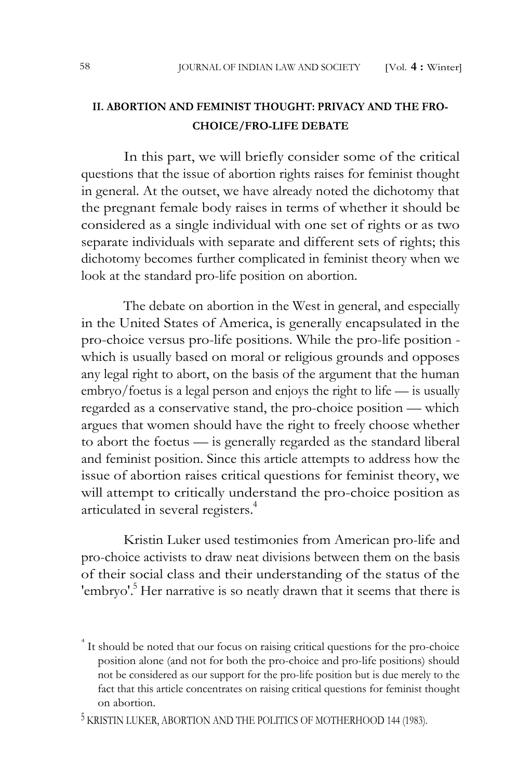## **II. ABORTION AND FEMINIST THOUGHT: PRIVACY AND THE FRO-CHOICE/FRO-LIFE DEBATE**

In this part, we will briefly consider some of the critical questions that the issue of abortion rights raises for feminist thought in general. At the outset, we have already noted the dichotomy that the pregnant female body raises in terms of whether it should be considered as a single individual with one set of rights or as two separate individuals with separate and different sets of rights; this dichotomy becomes further complicated in feminist theory when we look at the standard pro-life position on abortion.

The debate on abortion in the West in general, and especially in the United States of America, is generally encapsulated in the pro-choice versus pro-life positions. While the pro-life position which is usually based on moral or religious grounds and opposes any legal right to abort, on the basis of the argument that the human embryo/foetus is a legal person and enjoys the right to life — is usually regarded as a conservative stand, the pro-choice position — which argues that women should have the right to freely choose whether to abort the foetus — is generally regarded as the standard liberal and feminist position. Since this article attempts to address how the issue of abortion raises critical questions for feminist theory, we will attempt to critically understand the pro-choice position as articulated in several registers.<sup>4</sup>

Kristin Luker used testimonies from American pro-life and pro-choice activists to draw neat divisions between them on the basis of their social class and their understanding of the status of the 'embryo'.<sup>5</sup> Her narrative is so neatly drawn that it seems that there is

<sup>&</sup>lt;sup>4</sup> It should be noted that our focus on raising critical questions for the pro-choice position alone (and not for both the pro-choice and pro-life positions) should not be considered as our support for the pro-life position but is due merely to the fact that this article concentrates on raising critical questions for feminist thought on abortion.

 $^5$  KRISTIN LUKER, ABORTION AND THE POLITICS OF MOTHERHOOD 144 (1983).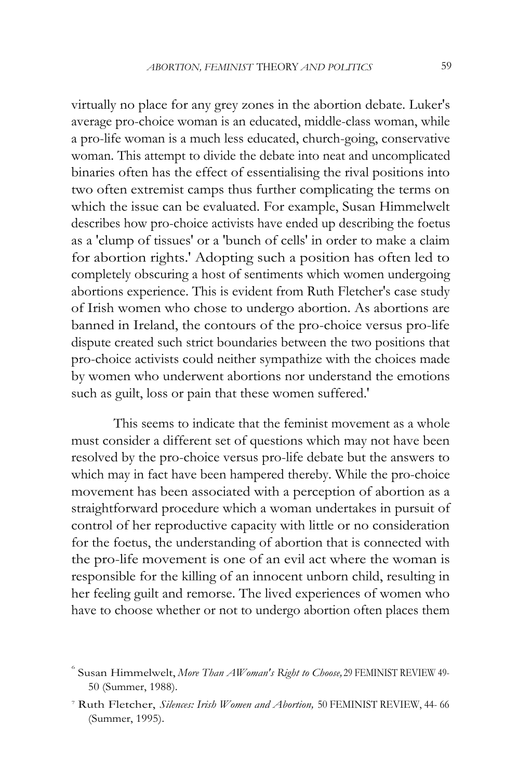virtually no place for any grey zones in the abortion debate. Luker's average pro-choice woman is an educated, middle-class woman, while a pro-life woman is a much less educated, church-going, conservative woman. This attempt to divide the debate into neat and uncomplicated binaries often has the effect of essentialising the rival positions into two often extremist camps thus further complicating the terms on which the issue can be evaluated. For example, Susan Himmelwelt describes how pro-choice activists have ended up describing the foetus as a 'clump of tissues' or a 'bunch of cells' in order to make a claim for abortion rights.' Adopting such a position has often led to completely obscuring a host of sentiments which women undergoing abortions experience. This is evident from Ruth Fletcher's case study of Irish women who chose to undergo abortion. As abortions are banned in Ireland, the contours of the pro-choice versus pro-life dispute created such strict boundaries between the two positions that pro-choice activists could neither sympathize with the choices made by women who underwent abortions nor understand the emotions such as guilt, loss or pain that these women suffered.'

This seems to indicate that the feminist movement as a whole must consider a different set of questions which may not have been resolved by the pro-choice versus pro-life debate but the answers to which may in fact have been hampered thereby. While the pro-choice movement has been associated with a perception of abortion as a straightforward procedure which a woman undertakes in pursuit of control of her reproductive capacity with little or no consideration for the foetus, the understanding of abortion that is connected with the pro-life movement is one of an evil act where the woman is responsible for the killing of an innocent unborn child, resulting in her feeling guilt and remorse. The lived experiences of women who have to choose whether or not to undergo abortion often places them

<sup>6</sup>Susan Himmelwelt, *More Than AWoman's Right to Choose,* 29 FEMINIST REVIEW 49- 50 (Summer, 1988).

<sup>7</sup>Ruth Fletcher, *Silences: Irish Women and Abortion,* 50 FEMINIST REVIEW, 44- 66 (Summer, 1995).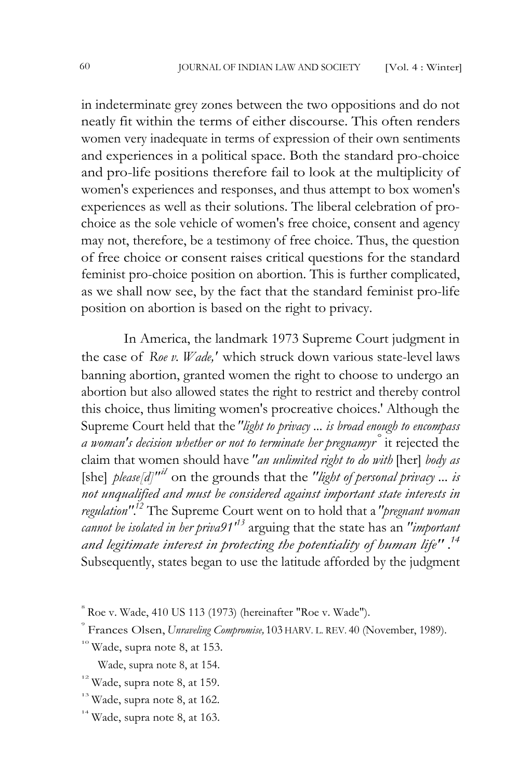in indeterminate grey zones between the two oppositions and do not neatly fit within the terms of either discourse. This often renders women very inadequate in terms of expression of their own sentiments and experiences in a political space. Both the standard pro-choice and pro-life positions therefore fail to look at the multiplicity of women's experiences and responses, and thus attempt to box women's experiences as well as their solutions. The liberal celebration of prochoice as the sole vehicle of women's free choice, consent and agency may not, therefore, be a testimony of free choice. Thus, the question of free choice or consent raises critical questions for the standard feminist pro-choice position on abortion. This is further complicated, as we shall now see, by the fact that the standard feminist pro-life position on abortion is based on the right to privacy.

In America, the landmark 1973 Supreme Court judgment in the case of *Roe v. Wade,'* which struck down various state-level laws banning abortion, granted women the right to choose to undergo an abortion but also allowed states the right to restrict and thereby control this choice, thus limiting women's procreative choices.' Although the Supreme Court held that the *"light to privacy ... is broad enough to encompass a woman's decision whether or not to terminate her pregnamyr°* it rejected the claim that women should have *"an unlimited right to do with* [her] *body as*  [she] *please[d]"il* on the grounds that the *"light of personal privacy ... is not unqualified and must be considered against important state interests in regulation".<sup>12</sup>*The Supreme Court went on to hold that a *"pregnant woman cannot be isolated in her priva91'<sup>13</sup>*arguing that the state has an *"important and legitimate interest in protecting the potentiality of human life" .<sup>14</sup>* Subsequently, states began to use the latitude afforded by the judgment

 $8$  Roe v. Wade, 410 US 113 (1973) (hereinafter "Roe v. Wade").

<sup>9</sup>Frances Olsen, *Unraveling Compromise,* 103 HARV. L. REV. 40 (November, 1989).

 $10^{\circ}$  Wade, supra note 8, at 153.

Wade, supra note 8, at 154.

<sup>&</sup>lt;sup>12</sup> Wade, supra note 8, at 159.

 $13$  Wade, supra note 8, at 162.

 $14$  Wade, supra note 8, at 163.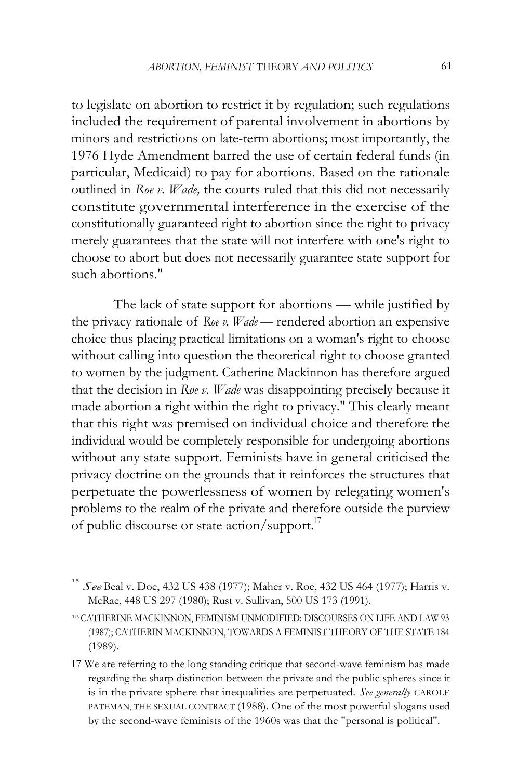to legislate on abortion to restrict it by regulation; such regulations included the requirement of parental involvement in abortions by minors and restrictions on late-term abortions; most importantly, the 1976 Hyde Amendment barred the use of certain federal funds (in particular, Medicaid) to pay for abortions. Based on the rationale outlined in *Roe v. Wade,* the courts ruled that this did not necessarily constitute governmental interference in the exercise of the constitutionally guaranteed right to abortion since the right to privacy merely guarantees that the state will not interfere with one's right to choose to abort but does not necessarily guarantee state support for such abortions."

The lack of state support for abortions — while justified by the privacy rationale of *Roe v. Wade —* rendered abortion an expensive choice thus placing practical limitations on a woman's right to choose without calling into question the theoretical right to choose granted to women by the judgment. Catherine Mackinnon has therefore argued that the decision in *Roe v. Wade* was disappointing precisely because it made abortion a right within the right to privacy." This clearly meant that this right was premised on individual choice and therefore the individual would be completely responsible for undergoing abortions without any state support. Feminists have in general criticised the privacy doctrine on the grounds that it reinforces the structures that perpetuate the powerlessness of women by relegating women's problems to the realm of the private and therefore outside the purview of public discourse or state action/support.<sup>17</sup>

<sup>15</sup>*See* Beal v. Doe, 432 US 438 (1977); Maher v. Roe, 432 US 464 (1977); Harris v. McRae, 448 US 297 (1980); Rust v. Sullivan, 500 US 173 (1991).

<sup>16</sup> CATHERINE MACKINNON, FEMINISM UNMODIFIED: DISCOURSES ON LIFE AND LAW 93 (1987); CATHERIN MACKINNON, TOWARDS A FEMINIST THEORY OF THE STATE 184 (1989).

<sup>17</sup> We are referring to the long standing critique that second-wave feminism has made regarding the sharp distinction between the private and the public spheres since it is in the private sphere that inequalities are perpetuated. *See generally* CAROLE PATEMAN, THE SEXUAL CONTRACT (1988). One of the most powerful slogans used by the second-wave feminists of the 1960s was that the "personal is political".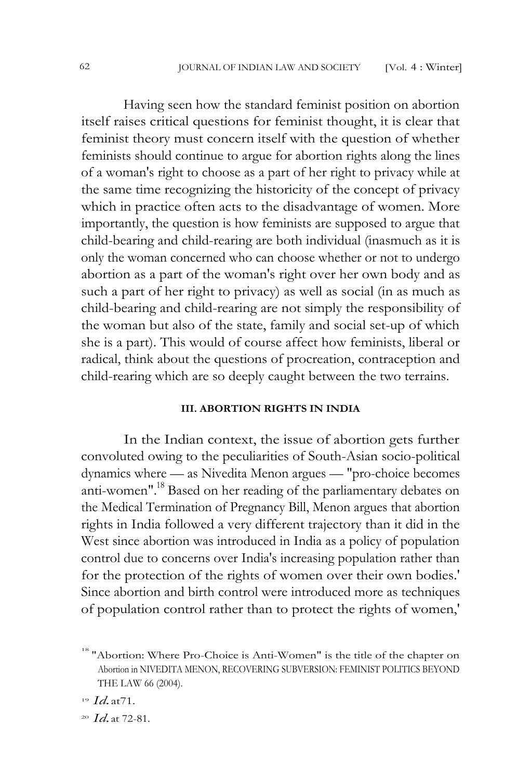Having seen how the standard feminist position on abortion itself raises critical questions for feminist thought, it is clear that feminist theory must concern itself with the question of whether feminists should continue to argue for abortion rights along the lines of a woman's right to choose as a part of her right to privacy while at the same time recognizing the historicity of the concept of privacy which in practice often acts to the disadvantage of women. More importantly, the question is how feminists are supposed to argue that child-bearing and child-rearing are both individual (inasmuch as it is only the woman concerned who can choose whether or not to undergo abortion as a part of the woman's right over her own body and as such a part of her right to privacy) as well as social (in as much as child-bearing and child-rearing are not simply the responsibility of the woman but also of the state, family and social set-up of which she is a part). This would of course affect how feminists, liberal or radical, think about the questions of procreation, contraception and child-rearing which are so deeply caught between the two terrains.

## **III. ABORTION RIGHTS IN INDIA**

In the Indian context, the issue of abortion gets further convoluted owing to the peculiarities of South-Asian socio-political dynamics where — as Nivedita Menon argues — "pro-choice becomes anti-women".<sup>18</sup> Based on her reading of the parliamentary debates on the Medical Termination of Pregnancy Bill, Menon argues that abortion rights in India followed a very different trajectory than it did in the West since abortion was introduced in India as a policy of population control due to concerns over India's increasing population rather than for the protection of the rights of women over their own bodies.' Since abortion and birth control were introduced more as techniques of population control rather than to protect the rights of women,'

<sup>&</sup>lt;sup>18</sup> "Abortion: Where Pro-Choice is Anti-Women" is the title of the chapter on Abortion in NIVEDITA MENON, RECOVERING SUBVERSION: FEMINIST POLITICS BEYOND THE LAW 66 (2004).

<sup>19</sup>*Id.* at71.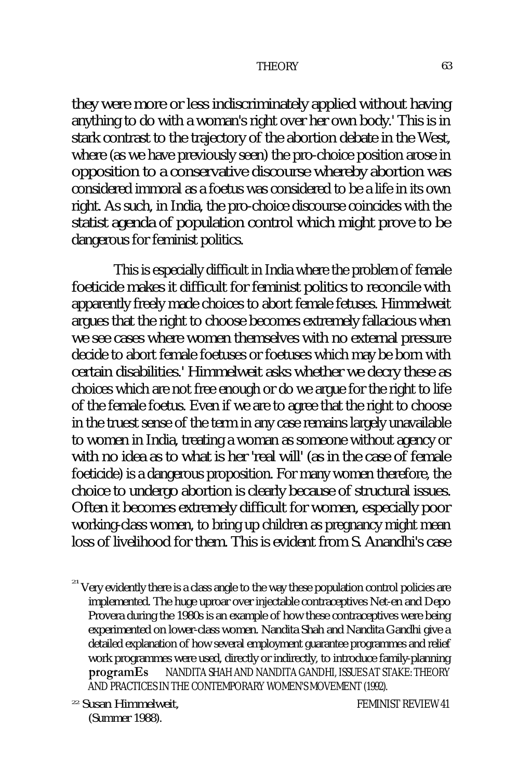they were more or less indiscriminately applied without having anything to do with a woman's right over her own body.' This is in stark contrast to the trajectory of the abortion debate in the West, where (as we have previously seen) the pro-choice position arose in opposition to a conservative discourse whereby abortion was considered immoral as a foetus was considered to be a life in its own right. As such, in India, the pro-choice discourse coincides with the statist agenda of population control which might prove to be dangerous for feminist politics.

This is especially difficult in India where the problem of female foeticide makes it difficult for feminist politics to reconcile with apparently freely made choices to abort female fetuses. Himmelweit argues that the right to choose becomes extremely fallacious when we see cases where women themselves with no external pressure decide to abort female foetuses or foetuses which may be born with certain disabilities.' Himmelweit asks whether we decry these as choices which are not free enough or do we argue for the right to life of the female foetus. Even if we are to agree that the right to choose in the truest sense of the term in any case remains largely unavailable to women in India, treating a woman as someone without agency or with no idea as to what is her 'real will' (as in the case of female foeticide) is a dangerous proposition. For many women therefore, the choice to undergo abortion is clearly because of structural issues. Often it becomes extremely difficult for women, especially poor working-class women, to bring up children as pregnancy might mean loss of livelihood for them. This is evident from S. Anandhi's case

<sup>22</sup> Susan Himmelweit, More than 'a Woman's Right to Choose''REVIEW 41 (Summer 1988).

 $21$ <sup>21</sup> Very evidently there is a class angle to the way these population control policies are implemented. The huge uproar over injectable contraceptives Net-en and Depo Provera during the 1980s is an example of how these contraceptives were being experimented on lower-class women. Nandita Shah and Nandita Gandhi give a detailed explanation of how several employment guarantee programmes and relief work programmes were used, directly or indirectly, to introduce family-planning **programEs SeNANDITA SHAH AND NANDITA GANDHI, ISSUES AT STAKE: THEORY** AND PRACTICES IN THE CONTEMPORARY WOMEN'S MOVEMENT (1992).